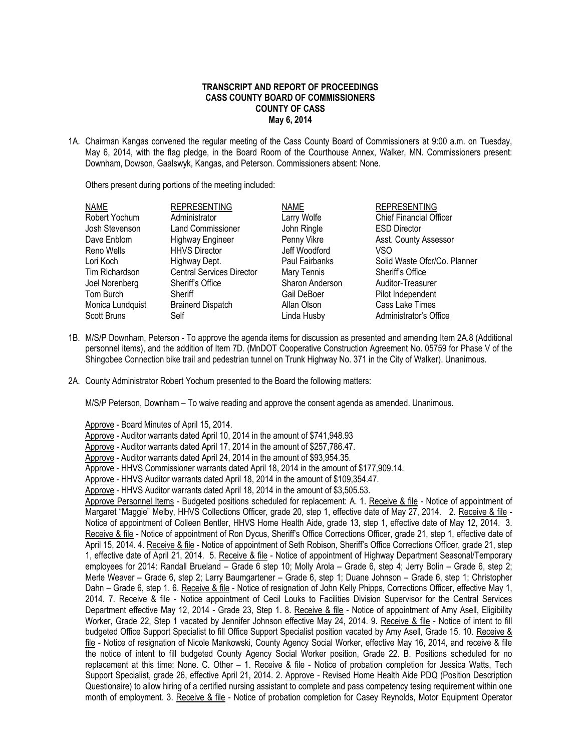## **TRANSCRIPT AND REPORT OF PROCEEDINGS CASS COUNTY BOARD OF COMMISSIONERS COUNTY OF CASS May 6, 2014**

1A. Chairman Kangas convened the regular meeting of the Cass County Board of Commissioners at 9:00 a.m. on Tuesday, May 6, 2014, with the flag pledge, in the Board Room of the Courthouse Annex, Walker, MN. Commissioners present: Downham, Dowson, Gaalswyk, Kangas, and Peterson. Commissioners absent: None.

Others present during portions of the meeting included:

| <b>NAME</b>        | <b>REPRESENTING</b>              | <b>NAME</b>     | <b>REPRESENTING</b>            |
|--------------------|----------------------------------|-----------------|--------------------------------|
| Robert Yochum      | Administrator                    | Larry Wolfe     | <b>Chief Financial Officer</b> |
| Josh Stevenson     | <b>Land Commissioner</b>         | John Ringle     | <b>ESD Director</b>            |
| Dave Enblom        | <b>Highway Engineer</b>          | Penny Vikre     | Asst. County Assessor          |
| Reno Wells         | <b>HHVS Director</b>             | Jeff Woodford   | VSO                            |
| Lori Koch          | Highway Dept.                    | Paul Fairbanks  | Solid Waste Ofcr/Co. Planner   |
| Tim Richardson     | <b>Central Services Director</b> | Mary Tennis     | Sheriff's Office               |
| Joel Norenberg     | Sheriff's Office                 | Sharon Anderson | Auditor-Treasurer              |
| Tom Burch          | Sheriff                          | Gail DeBoer     | Pilot Independent              |
| Monica Lundquist   | <b>Brainerd Dispatch</b>         | Allan Olson     | Cass Lake Times                |
| <b>Scott Bruns</b> | Self                             | Linda Husby     | Administrator's Office         |

- 1B. M/S/P Downham, Peterson To approve the agenda items for discussion as presented and amending Item 2A.8 (Additional personnel items), and the addition of Item 7D. (MnDOT Cooperative Construction Agreement No. 05759 for Phase V of the Shingobee Connection bike trail and pedestrian tunnel on Trunk Highway No. 371 in the City of Walker). Unanimous.
- 2A. County Administrator Robert Yochum presented to the Board the following matters:

M/S/P Peterson, Downham – To waive reading and approve the consent agenda as amended. Unanimous.

Approve - Board Minutes of April 15, 2014.

Approve - Auditor warrants dated April 10, 2014 in the amount of \$741,948.93

Approve - Auditor warrants dated April 17, 2014 in the amount of \$257,786.47.

- Approve Auditor warrants dated April 24, 2014 in the amount of \$93,954.35.
- Approve HHVS Commissioner warrants dated April 18, 2014 in the amount of \$177,909.14.

Approve - HHVS Auditor warrants dated April 18, 2014 in the amount of \$109,354.47.

Approve - HHVS Auditor warrants dated April 18, 2014 in the amount of \$3,505.53.

Approve Personnel Items - Budgeted positions scheduled for replacement: A. 1. Receive & file - Notice of appointment of Margaret "Maggie" Melby, HHVS Collections Officer, grade 20, step 1, effective date of May 27, 2014. 2. Receive & file -Notice of appointment of Colleen Bentler, HHVS Home Health Aide, grade 13, step 1, effective date of May 12, 2014. 3. Receive & file - Notice of appointment of Ron Dycus, Sheriff's Office Corrections Officer, grade 21, step 1, effective date of April 15, 2014. 4. Receive & file - Notice of appointment of Seth Robison, Sheriff's Office Corrections Officer, grade 21, step 1, effective date of April 21, 2014. 5. Receive & file - Notice of appointment of Highway Department Seasonal/Temporary employees for 2014: Randall Brueland – Grade 6 step 10; Molly Arola – Grade 6, step 4; Jerry Bolin – Grade 6, step 2; Merle Weaver – Grade 6, step 2; Larry Baumgartener – Grade 6, step 1; Duane Johnson – Grade 6, step 1; Christopher Dahn – Grade 6, step 1. 6. Receive & file - Notice of resignation of John Kelly Phipps, Corrections Officer, effective May 1, 2014. 7. Receive & file - Notice appointment of Cecil Louks to Facilities Division Supervisor for the Central Services Department effective May 12, 2014 - Grade 23, Step 1. 8. Receive & file - Notice of appointment of Amy Asell, Eligibility Worker, Grade 22, Step 1 vacated by Jennifer Johnson effective May 24, 2014. 9. Receive & file - Notice of intent to fill budgeted Office Support Specialist to fill Office Support Specialist position vacated by Amy Asell, Grade 15. 10. Receive & file - Notice of resignation of Nicole Mankowski, County Agency Social Worker, effective May 16, 2014, and receive & file the notice of intent to fill budgeted County Agency Social Worker position, Grade 22. B. Positions scheduled for no replacement at this time: None. C. Other – 1. Receive & file - Notice of probation completion for Jessica Watts, Tech Support Specialist, grade 26, effective April 21, 2014. 2. Approve - Revised Home Health Aide PDQ (Position Description Questionaire) to allow hiring of a certified nursing assistant to complete and pass competency tesing requirement within one month of employment. 3. Receive & file - Notice of probation completion for Casey Reynolds, Motor Equipment Operator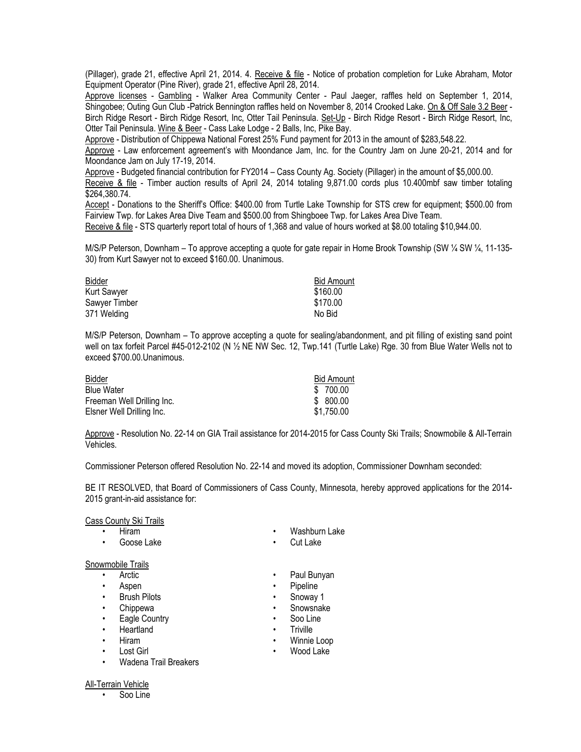(Pillager), grade 21, effective April 21, 2014. 4. Receive & file - Notice of probation completion for Luke Abraham, Motor Equipment Operator (Pine River), grade 21, effective April 28, 2014.

Approve licenses - Gambling - Walker Area Community Center - Paul Jaeger, raffles held on September 1, 2014, Shingobee; Outing Gun Club -Patrick Bennington raffles held on November 8, 2014 Crooked Lake. On & Off Sale 3.2 Beer - Birch Ridge Resort - Birch Ridge Resort, Inc, Otter Tail Peninsula. Set-Up - Birch Ridge Resort - Birch Ridge Resort, Inc, Otter Tail Peninsula. Wine & Beer - Cass Lake Lodge - 2 Balls, Inc, Pike Bay.

Approve - Distribution of Chippewa National Forest 25% Fund payment for 2013 in the amount of \$283,548.22.

Approve - Law enforcement agreement's with Moondance Jam, Inc. for the Country Jam on June 20-21, 2014 and for Moondance Jam on July 17-19, 2014.

Approve - Budgeted financial contribution for FY2014 – Cass County Ag. Society (Pillager) in the amount of \$5,000.00.

Receive & file - Timber auction results of April 24, 2014 totaling 9,871.00 cords plus 10.400mbf saw timber totaling \$264,380.74.

Accept - Donations to the Sheriff's Office: \$400.00 from Turtle Lake Township for STS crew for equipment; \$500.00 from Fairview Twp. for Lakes Area Dive Team and \$500.00 from Shingboee Twp. for Lakes Area Dive Team.

Receive & file - STS quarterly report total of hours of 1,368 and value of hours worked at \$8.00 totaling \$10,944.00.

M/S/P Peterson, Downham – To approve accepting a quote for gate repair in Home Brook Township (SW ¼ SW ¼, 11-135- 30) from Kurt Sawyer not to exceed \$160.00. Unanimous.

| <b>Bidder</b> | <b>Bid Amount</b> |
|---------------|-------------------|
| Kurt Sawyer   | \$160.00          |
| Sawyer Timber | \$170.00          |
| 371 Welding   | No Bid            |

M/S/P Peterson, Downham – To approve accepting a quote for sealing/abandonment, and pit filling of existing sand point well on tax forfeit Parcel #45-012-2102 (N ½ NE NW Sec. 12, Twp.141 (Turtle Lake) Rge. 30 from Blue Water Wells not to exceed \$700.00.Unanimous.

| Bidder                     | <b>Bid Amount</b> |
|----------------------------|-------------------|
| <b>Blue Water</b>          | \$ 700.00         |
| Freeman Well Drilling Inc. | \$ 800.00         |
| Elsner Well Drilling Inc.  | \$1,750.00        |

Approve - Resolution No. 22-14 on GIA Trail assistance for 2014-2015 for Cass County Ski Trails; Snowmobile & All-Terrain Vehicles.

Commissioner Peterson offered Resolution No. 22-14 and moved its adoption, Commissioner Downham seconded:

BE IT RESOLVED, that Board of Commissioners of Cass County, Minnesota, hereby approved applications for the 2014- 2015 grant-in-aid assistance for:

#### Cass County Ski Trails

- 
- Goose Lake Cut Lake

### Snowmobile Trails

- 
- 
- Brush Pilots Snoway 1
- 
- Eagle Country  **Soo Line**
- Heartland Triville
- 
- 
- Wadena Trail Breakers
- Hiram Washburn Lake
	-
- Arctic **•** Paul Bunyan
	- Aspen Pipeline
		-
	- Chippewa Snowsnake
		-
		-
	- Hiram Winnie Loop
	- Lost Girl Wood Lake

# All-Terrain Vehicle

• Soo Line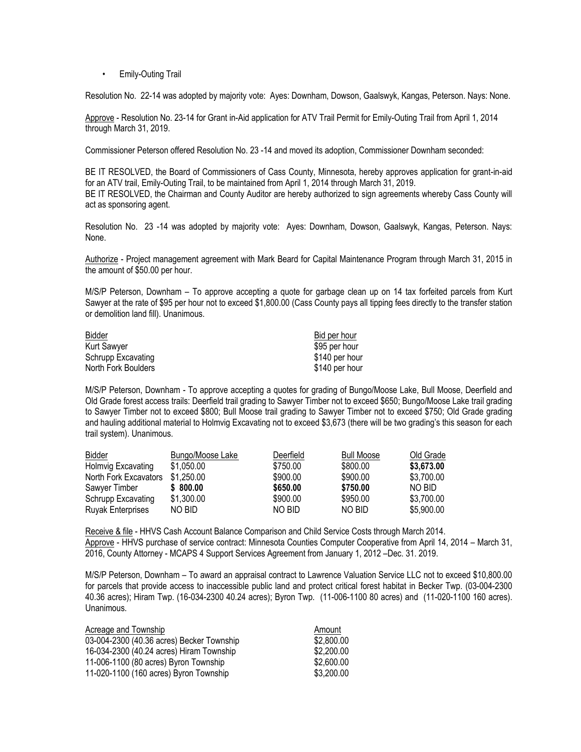• Emily-Outing Trail

Resolution No. 22-14 was adopted by majority vote: Ayes: Downham, Dowson, Gaalswyk, Kangas, Peterson. Nays: None.

Approve - Resolution No. 23-14 for Grant in-Aid application for ATV Trail Permit for Emily-Outing Trail from April 1, 2014 through March 31, 2019.

Commissioner Peterson offered Resolution No. 23 -14 and moved its adoption, Commissioner Downham seconded:

BE IT RESOLVED, the Board of Commissioners of Cass County, Minnesota, hereby approves application for grant-in-aid for an ATV trail, Emily-Outing Trail, to be maintained from April 1, 2014 through March 31, 2019. BE IT RESOLVED, the Chairman and County Auditor are hereby authorized to sign agreements whereby Cass County will act as sponsoring agent.

Resolution No. 23 -14 was adopted by majority vote: Ayes: Downham, Dowson, Gaalswyk, Kangas, Peterson. Nays: None.

Authorize - Project management agreement with Mark Beard for Capital Maintenance Program through March 31, 2015 in the amount of \$50.00 per hour.

M/S/P Peterson, Downham – To approve accepting a quote for garbage clean up on 14 tax forfeited parcels from Kurt Sawyer at the rate of \$95 per hour not to exceed \$1,800.00 (Cass County pays all tipping fees directly to the transfer station or demolition land fill). Unanimous.

| <b>Bidder</b>       | Bid per hour   |
|---------------------|----------------|
| <b>Kurt Sawyer</b>  | \$95 per hour  |
| Schrupp Excavating  | \$140 per hour |
| North Fork Boulders | \$140 per hour |

M/S/P Peterson, Downham - To approve accepting a quotes for grading of Bungo/Moose Lake, Bull Moose, Deerfield and Old Grade forest access trails: Deerfield trail grading to Sawyer Timber not to exceed \$650; Bungo/Moose Lake trail grading to Sawyer Timber not to exceed \$800; Bull Moose trail grading to Sawyer Timber not to exceed \$750; Old Grade grading and hauling additional material to Holmvig Excavating not to exceed \$3,673 (there will be two grading's this season for each trail system). Unanimous.

| Bidder                   | Bungo/Moose Lake | Deerfield | <b>Bull Moose</b> | Old Grade  |
|--------------------------|------------------|-----------|-------------------|------------|
| Holmvig Excavating       | \$1,050.00       | \$750.00  | \$800.00          | \$3,673.00 |
| North Fork Excavators    | \$1,250.00       | \$900.00  | \$900.00          | \$3,700.00 |
| Sawyer Timber            | \$800.00         | \$650.00  | \$750.00          | NO BID     |
| Schrupp Excavating       | \$1,300.00       | \$900.00  | \$950.00          | \$3,700.00 |
| <b>Ruyak Enterprises</b> | NO BID           | NO BID    | NO BID            | \$5,900.00 |
|                          |                  |           |                   |            |

Receive & file - HHVS Cash Account Balance Comparison and Child Service Costs through March 2014. Approve - HHVS purchase of service contract: Minnesota Counties Computer Cooperative from April 14, 2014 – March 31, 2016, County Attorney - MCAPS 4 Support Services Agreement from January 1, 2012 –Dec. 31. 2019.

M/S/P Peterson, Downham – To award an appraisal contract to Lawrence Valuation Service LLC not to exceed \$10,800.00 for parcels that provide access to inaccessible public land and protect critical forest habitat in Becker Twp. (03-004-2300 40.36 acres); Hiram Twp. (16-034-2300 40.24 acres); Byron Twp. (11-006-1100 80 acres) and (11-020-1100 160 acres). Unanimous.

| Acreage and Township                      | Amount     |
|-------------------------------------------|------------|
| 03-004-2300 (40.36 acres) Becker Township | \$2,800.00 |
| 16-034-2300 (40.24 acres) Hiram Township  | \$2,200.00 |
| 11-006-1100 (80 acres) Byron Township     | \$2,600.00 |
| 11-020-1100 (160 acres) Byron Township    | \$3,200.00 |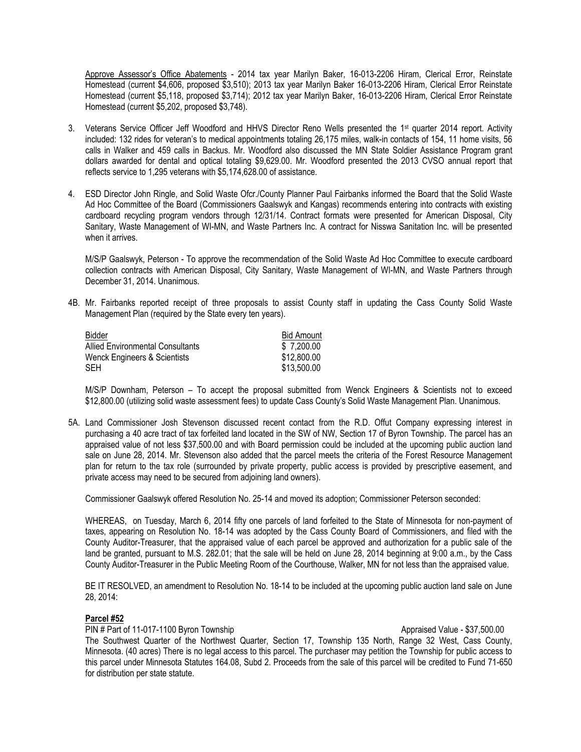Approve Assessor's Office Abatements - 2014 tax year Marilyn Baker, 16-013-2206 Hiram, Clerical Error, Reinstate Homestead (current \$4,606, proposed \$3,510); 2013 tax year Marilyn Baker 16-013-2206 Hiram, Clerical Error Reinstate Homestead (current \$5,118, proposed \$3,714); 2012 tax year Marilyn Baker, 16-013-2206 Hiram, Clerical Error Reinstate Homestead (current \$5,202, proposed \$3,748).

- 3. Veterans Service Officer Jeff Woodford and HHVS Director Reno Wells presented the 1st quarter 2014 report. Activity included: 132 rides for veteran's to medical appointments totaling 26,175 miles, walk-in contacts of 154, 11 home visits, 56 calls in Walker and 459 calls in Backus. Mr. Woodford also discussed the MN State Soldier Assistance Program grant dollars awarded for dental and optical totaling \$9,629.00. Mr. Woodford presented the 2013 CVSO annual report that reflects service to 1,295 veterans with \$5,174,628.00 of assistance.
- 4. ESD Director John Ringle, and Solid Waste Ofcr./County Planner Paul Fairbanks informed the Board that the Solid Waste Ad Hoc Committee of the Board (Commissioners Gaalswyk and Kangas) recommends entering into contracts with existing cardboard recycling program vendors through 12/31/14. Contract formats were presented for American Disposal, City Sanitary, Waste Management of WI-MN, and Waste Partners Inc. A contract for Nisswa Sanitation Inc. will be presented when it arrives.

M/S/P Gaalswyk, Peterson - To approve the recommendation of the Solid Waste Ad Hoc Committee to execute cardboard collection contracts with American Disposal, City Sanitary, Waste Management of WI-MN, and Waste Partners through December 31, 2014. Unanimous.

4B. Mr. Fairbanks reported receipt of three proposals to assist County staff in updating the Cass County Solid Waste Management Plan (required by the State every ten years).

| <b>Bidder</b>                           | <b>Bid Amount</b> |
|-----------------------------------------|-------------------|
| <b>Allied Environmental Consultants</b> | \$7,200.00        |
| Wenck Engineers & Scientists            | \$12,800.00       |
| <b>SEH</b>                              | \$13,500.00       |

M/S/P Downham, Peterson – To accept the proposal submitted from Wenck Engineers & Scientists not to exceed \$12,800.00 (utilizing solid waste assessment fees) to update Cass County's Solid Waste Management Plan. Unanimous.

5A. Land Commissioner Josh Stevenson discussed recent contact from the R.D. Offut Company expressing interest in purchasing a 40 acre tract of tax forfeited land located in the SW of NW, Section 17 of Byron Township. The parcel has an appraised value of not less \$37,500.00 and with Board permission could be included at the upcoming public auction land sale on June 28, 2014. Mr. Stevenson also added that the parcel meets the criteria of the Forest Resource Management plan for return to the tax role (surrounded by private property, public access is provided by prescriptive easement, and private access may need to be secured from adjoining land owners).

Commissioner Gaalswyk offered Resolution No. 25-14 and moved its adoption; Commissioner Peterson seconded:

WHEREAS, on Tuesday, March 6, 2014 fifty one parcels of land forfeited to the State of Minnesota for non-payment of taxes, appearing on Resolution No. 18-14 was adopted by the Cass County Board of Commissioners, and filed with the County Auditor-Treasurer, that the appraised value of each parcel be approved and authorization for a public sale of the land be granted, pursuant to M.S. 282.01; that the sale will be held on June 28, 2014 beginning at 9:00 a.m., by the Cass County Auditor-Treasurer in the Public Meeting Room of the Courthouse, Walker, MN for not less than the appraised value.

BE IT RESOLVED, an amendment to Resolution No. 18-14 to be included at the upcoming public auction land sale on June 28, 2014:

## **Parcel #52**

PIN # Part of 11-017-1100 Byron Township Approximated Value - \$37,500.00 The Southwest Quarter of the Northwest Quarter, Section 17, Township 135 North, Range 32 West, Cass County, Minnesota. (40 acres) There is no legal access to this parcel. The purchaser may petition the Township for public access to this parcel under Minnesota Statutes 164.08, Subd 2. Proceeds from the sale of this parcel will be credited to Fund 71-650 for distribution per state statute.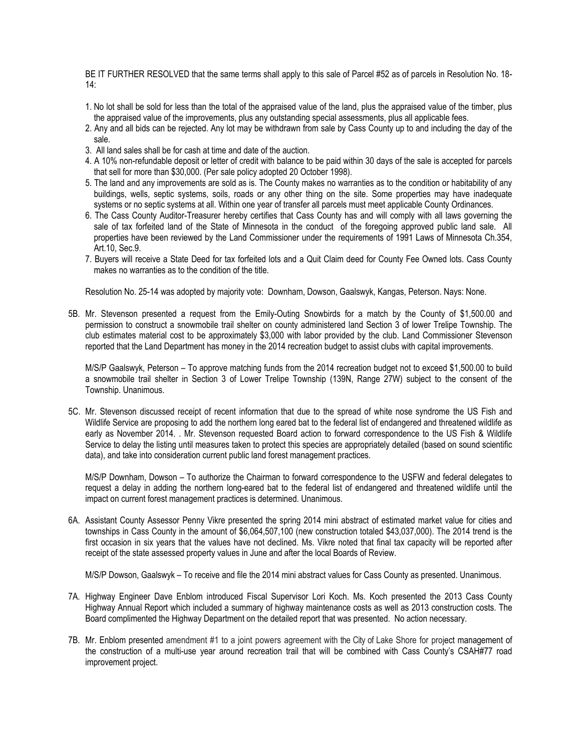BE IT FURTHER RESOLVED that the same terms shall apply to this sale of Parcel #52 as of parcels in Resolution No. 18- 14:

- 1. No lot shall be sold for less than the total of the appraised value of the land, plus the appraised value of the timber, plus the appraised value of the improvements, plus any outstanding special assessments, plus all applicable fees.
- 2. Any and all bids can be rejected. Any lot may be withdrawn from sale by Cass County up to and including the day of the sale.
- 3. All land sales shall be for cash at time and date of the auction.
- 4. A 10% non-refundable deposit or letter of credit with balance to be paid within 30 days of the sale is accepted for parcels that sell for more than \$30,000. (Per sale policy adopted 20 October 1998).
- 5. The land and any improvements are sold as is. The County makes no warranties as to the condition or habitability of any buildings, wells, septic systems, soils, roads or any other thing on the site. Some properties may have inadequate systems or no septic systems at all. Within one year of transfer all parcels must meet applicable County Ordinances.
- 6. The Cass County Auditor-Treasurer hereby certifies that Cass County has and will comply with all laws governing the sale of tax forfeited land of the State of Minnesota in the conduct of the foregoing approved public land sale. All properties have been reviewed by the Land Commissioner under the requirements of 1991 Laws of Minnesota Ch.354, Art.10, Sec.9.
- 7. Buyers will receive a State Deed for tax forfeited lots and a Quit Claim deed for County Fee Owned lots. Cass County makes no warranties as to the condition of the title.

Resolution No. 25-14 was adopted by majority vote: Downham, Dowson, Gaalswyk, Kangas, Peterson. Nays: None.

5B. Mr. Stevenson presented a request from the Emily-Outing Snowbirds for a match by the County of \$1,500.00 and permission to construct a snowmobile trail shelter on county administered land Section 3 of lower Trelipe Township. The club estimates material cost to be approximately \$3,000 with labor provided by the club. Land Commissioner Stevenson reported that the Land Department has money in the 2014 recreation budget to assist clubs with capital improvements.

M/S/P Gaalswyk, Peterson – To approve matching funds from the 2014 recreation budget not to exceed \$1,500.00 to build a snowmobile trail shelter in Section 3 of Lower Trelipe Township (139N, Range 27W) subject to the consent of the Township. Unanimous.

5C. Mr. Stevenson discussed receipt of recent information that due to the spread of white nose syndrome the US Fish and Wildlife Service are proposing to add the northern long eared bat to the federal list of endangered and threatened wildlife as early as November 2014. . Mr. Stevenson requested Board action to forward correspondence to the US Fish & Wildlife Service to delay the listing until measures taken to protect this species are appropriately detailed (based on sound scientific data), and take into consideration current public land forest management practices.

M/S/P Downham, Dowson – To authorize the Chairman to forward correspondence to the USFW and federal delegates to request a delay in adding the northern long-eared bat to the federal list of endangered and threatened wildlife until the impact on current forest management practices is determined. Unanimous.

6A. Assistant County Assessor Penny Vikre presented the spring 2014 mini abstract of estimated market value for cities and townships in Cass County in the amount of \$6,064,507,100 (new construction totaled \$43,037,000). The 2014 trend is the first occasion in six years that the values have not declined. Ms. Vikre noted that final tax capacity will be reported after receipt of the state assessed property values in June and after the local Boards of Review.

M/S/P Dowson, Gaalswyk – To receive and file the 2014 mini abstract values for Cass County as presented. Unanimous.

- 7A. Highway Engineer Dave Enblom introduced Fiscal Supervisor Lori Koch. Ms. Koch presented the 2013 Cass County Highway Annual Report which included a summary of highway maintenance costs as well as 2013 construction costs. The Board complimented the Highway Department on the detailed report that was presented. No action necessary.
- 7B. Mr. Enblom presented amendment #1 to a joint powers agreement with the City of Lake Shore for project management of the construction of a multi-use year around recreation trail that will be combined with Cass County's CSAH#77 road improvement project.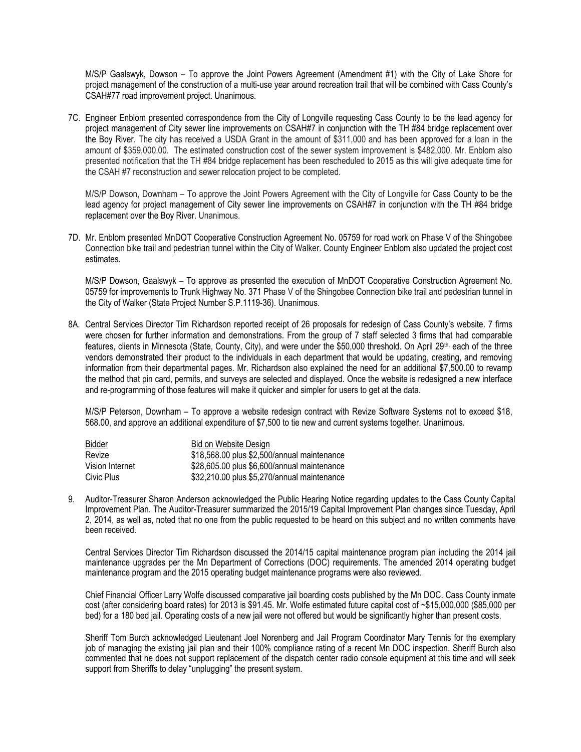M/S/P Gaalswyk, Dowson – To approve the Joint Powers Agreement (Amendment #1) with the City of Lake Shore for project management of the construction of a multi-use year around recreation trail that will be combined with Cass County's CSAH#77 road improvement project. Unanimous.

7C. Engineer Enblom presented correspondence from the City of Longville requesting Cass County to be the lead agency for project management of City sewer line improvements on CSAH#7 in conjunction with the TH #84 bridge replacement over the Boy River. The city has received a USDA Grant in the amount of \$311,000 and has been approved for a loan in the amount of \$359,000.00. The estimated construction cost of the sewer system improvement is \$482,000. Mr. Enblom also presented notification that the TH #84 bridge replacement has been rescheduled to 2015 as this will give adequate time for the CSAH #7 reconstruction and sewer relocation project to be completed.

M/S/P Dowson, Downham – To approve the Joint Powers Agreement with the City of Longville for Cass County to be the lead agency for project management of City sewer line improvements on CSAH#7 in conjunction with the TH #84 bridge replacement over the Boy River. Unanimous.

7D. Mr. Enblom presented MnDOT Cooperative Construction Agreement No. 05759 for road work on Phase V of the Shingobee Connection bike trail and pedestrian tunnel within the City of Walker. County Engineer Enblom also updated the project cost estimates.

M/S/P Dowson, Gaalswyk – To approve as presented the execution of MnDOT Cooperative Construction Agreement No. 05759 for improvements to Trunk Highway No. 371 Phase V of the Shingobee Connection bike trail and pedestrian tunnel in the City of Walker (State Project Number S.P.1119-36). Unanimous.

8A. Central Services Director Tim Richardson reported receipt of 26 proposals for redesign of Cass County's website. 7 firms were chosen for further information and demonstrations. From the group of 7 staff selected 3 firms that had comparable features, clients in Minnesota (State, County, City), and were under the \$50,000 threshold. On April 29<sup>th,</sup> each of the three vendors demonstrated their product to the individuals in each department that would be updating, creating, and removing information from their departmental pages. Mr. Richardson also explained the need for an additional \$7,500.00 to revamp the method that pin card, permits, and surveys are selected and displayed. Once the website is redesigned a new interface and re-programming of those features will make it quicker and simpler for users to get at the data.

M/S/P Peterson, Downham – To approve a website redesign contract with Revize Software Systems not to exceed \$18, 568.00, and approve an additional expenditure of \$7,500 to tie new and current systems together. Unanimous.

| Bidder          | Bid on Website Design                       |
|-----------------|---------------------------------------------|
| Revize          | \$18,568.00 plus \$2,500/annual maintenance |
| Vision Internet | \$28,605.00 plus \$6,600/annual maintenance |
| Civic Plus      | \$32,210.00 plus \$5,270/annual maintenance |

9. Auditor-Treasurer Sharon Anderson acknowledged the Public Hearing Notice regarding updates to the Cass County Capital Improvement Plan. The Auditor-Treasurer summarized the 2015/19 Capital Improvement Plan changes since Tuesday, April 2, 2014, as well as, noted that no one from the public requested to be heard on this subject and no written comments have been received.

Central Services Director Tim Richardson discussed the 2014/15 capital maintenance program plan including the 2014 jail maintenance upgrades per the Mn Department of Corrections (DOC) requirements. The amended 2014 operating budget maintenance program and the 2015 operating budget maintenance programs were also reviewed.

Chief Financial Officer Larry Wolfe discussed comparative jail boarding costs published by the Mn DOC. Cass County inmate cost (after considering board rates) for 2013 is \$91.45. Mr. Wolfe estimated future capital cost of ~\$15,000,000 (\$85,000 per bed) for a 180 bed jail. Operating costs of a new jail were not offered but would be significantly higher than present costs.

Sheriff Tom Burch acknowledged Lieutenant Joel Norenberg and Jail Program Coordinator Mary Tennis for the exemplary job of managing the existing jail plan and their 100% compliance rating of a recent Mn DOC inspection. Sheriff Burch also commented that he does not support replacement of the dispatch center radio console equipment at this time and will seek support from Sheriffs to delay "unplugging" the present system.